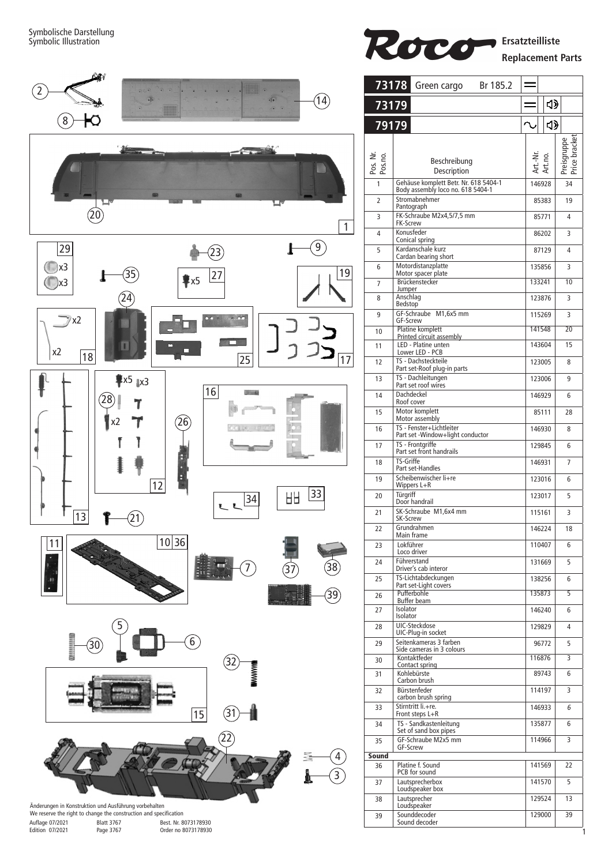

Art.-Nr. Art.no.

 $\sim$ 

146928 34

 $\triangleleft$ 

 $\triangleleft$ 

85383 19

85771 4

86202 3

87129 4

135856 3

133241 10

 $\frac{1}{123876}$  3

115269 3

141548 20

143604 15

 $123005$  8

123006 9

146929 6

85111 28

146930 8

129845 6

146931 7

 $\overline{123016}$  6

123017 5

115161 3

 $146224$  18

110407 6

131669 5

138256 6

135873 5

 $146240$  6

129829 4

96772 5

116876 3

89743 6

114197 3

146933 6

135877 6

 $114966$  3

141569 22

141570 5

129524 13

129000 39

Preisgruppe<br>Price bracket Price bracket

1